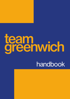# team<br>greenwich

# handbook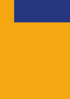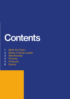# Contents

- 1 Meet the Team
- 2 Being a Group Leader
- 3 Membership
- 4 Fixtures
- 5 Finances
- 6 Events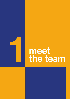

# meet<br>the team

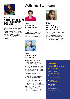

# Activities Staff team:



# **Becki** Sport Development and Participation Manager

Becki is responsible for anything and everything involving Team Greenwich; this includes fixtures, training and club development. Whether you need to check your budget, figure out how to grow your club further or want to put on a cool event, Becki is your key contact!



His role is to support all of SUUG's Societies in reaching their full potential – whether that be assisting with events, elections, memberships, stash, social media; you name it!



# Jono VP Student **Activities**

As the VP Student Activities for GSU this year, Jono is the elected representative for all clubs, societies and their current and prospective members. He is here to be a friendly face, answer any queries you may have, and to campaign to make extra-curricular experience here at Greenwich the best it can possibly be.

"I really want as many students as possible to join a student group whether that be a society or a sports team. Being part of a student group transforms your university experience. I can't imagine what my time at Greenwich would have been like if I hadn't joined one. If you need anything at all, please don't hesitate to get in touch with me, I'm here to help!"



# Priya Academic **Communities** Coordinator

Her job is to support all academic societies, give them all the tools they need to put on great events and get loads of members, and she is mainly working on bridging the gap between students and their relevant academic society

# 2018/19 Team Greenwich **Executives**

Ziggy F Beesley tb8109z@gre.ac.uk

Carla Anne Buhagiar cb0136g@gre.ac.uk

Ellie Grant eg1678h@gre.ac.uk

Tia N Walby tw4320g@gre.ac.uk

James A Roddy jr8576r@greenwich.ac.uk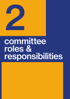

# committee roles & responsibilities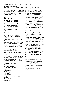Each team will require a minimum committee consisting of a President, Treasurer and Secretary. Other roles can be added but must inform the Sport Coordinator of any changes to the structure. An outline of the roles and responsibilities for important roles are:

# Being a Group Leader

To run a student group there needs to be at least three group leaders. These are:

- Chairperson/President
- Secretary
- Captain

Every group must have these positions (or fitting variations of). The other positions can be determined by the leadership team. Common positions that you might wish to consider to keep your group active and interested throughout the year include social secs/events officers and media/publicity reps.

Outline of basic leadership team responsibilities, and what you can expect to get out of them:

We believe that taking on a Group Leader role, naturally allows you to develop and enhance your ability to perform some/all of the 12 competencies highlighted below:

Business Awareness Communication Creative Thinking Customer Excellence Decision Making Leadership Marketing Production **Organisation** People Management Problem Solving Strategic Planning Teamwork

### **Chairperson**

The Chairperson/President of each student group is the leader. who oversees all of the group's activity. They will need to provide support, advice and guidance to other committee members throughout the year, and actively represent the group members in a variety of situations. It's a challenging role, requiring you to know a bit about everythin g, but also, to be comfortable delegating to others and trusting them – we recommend being highly organised and very committed to your group!

### **Secretary**

The Secretary is the backbone of any student group, dealing with details like paperwork and records to ensure everything runs smoothly. Emails needs to be written, agendas and records of meetings created and distributed, rooms need to be booked, and above all you need to communicate with both group leaders and members to ensure everyone knows what's happening and stays interested and involved! It's no good running the greatest activities in the world, if your audience doesn't know about it…

### Captain

The captain is responsible for having the team on the pitch at all fixtures, making sure teams arrive at their matches and that training is what the team need. They also select the squad for each fixture and ensure players are eligible to play.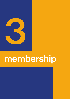

# membership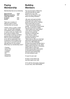# Paying **Building** Building Membership

Membership fees are as following:

| <b>Sport Format</b>     | Cost |
|-------------------------|------|
| <b>BUCS/Competitive</b> | £60  |
| <b>LUSL/Recreation</b>  |      |
| (League)                | £40  |
| <b>Social</b>           | £20  |

There are a number of different ways in which membership can be paid:

•Online, using a credit or debit card - via your GSU webpage •At Students' Union receptions in cash or with your Aspire card (up to £50 on Aspire card) If a member is having a problem paying online then please get them to email activities@gre. ac.uk with an explanation and screenshot of the problem (e.g. can't log in to account) and we will help them fix the problem. What does my membership cover?

- Training
- Venue Hire
- Transport
- Umpires
- Kit
- Insurance
- Equipment

# Members

The second week of Welcome will automatically be taster sessions for your club. There are key things to note about recruiting members:

• Be open and approachable. Think about the reasons you joined the club and as a fresher, what would make you join? • Treat all potential members equally – be inclusive and promote the club at all levels of ability. • What makes your club unique? • How will you ensure that interest from potential members is followed up? • How will you collect contact information from potential members? • What will you offer as a club that will benefit a potential member? Using Your GSU Webpage All approved student groups have a page on greenwichsu.co.uk, either categorized as Sports or Societies. Admin rights to edit each student group page will be given to all student group leaders that have paid membership for that academic year.

1) Log in to your user

2) Click on the Admin tab, and then select your club

3) To edit the information displayed on your area, click 'Edit Details'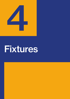

# Fixtures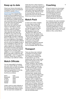Check your fixture information by checking the fixtures spreadsheet and BUCS website [\(https://]((https://www.bucs.org.uk//bucscore/Search.aspx) [www.bucs.org.uk//bucscore/]((https://www.bucs.org.uk//bucscore/Search.aspx) [Search.aspx]((https://www.bucs.org.uk//bucscore/Search.aspx)) on a regular basis to find out the arrangements for forthcoming fixtures or to check for cancellations or postponements. You will receive a weekly email with your upcoming fixtures, with details of the start time and travel plans. Can't get a team together? Give at the very least 48 hours notice to rearrange or cancel a fixture - If you give less than 48 hours notice for reasons other than bad weather BUCS rules state that your team will be liable for any costs incurred by your opposition and you will automatically concede a walkover. Note on walkovers: If you concede 3 or more walkovers in the league, the team will be fined £50 by BUCS and you will not be eligible to play in Cup competitions. Due to this rule, if you concede two walkovers you will be called in for a meeting with the Student Activities staff and the team may be removed from BUCS leagues. If you concede a late walkover in a cup competition then BUCS rules state a £300 fine will be applicable - even if it is your first walkover. Please see us ASAP if conceding a cup walkover is likely.

# Match Officials

You are responsible for booking your own match officials, and this should be done as early as possible and ensure that you have the means of paying them on the day. The costs for officials from the SU are as follows:

| Sport             | Cost       |
|-------------------|------------|
| <b>Basketball</b> | £90 (3x30) |
| Cricket           | (E40)      |
| Football          | (E40)      |
| Hockey            | (E40)      |
| Netball           | (E30)      |

Collect cash for match officials on the morning of the Home fixtures from the Reception Desk at Avery Hill. You was must complete the

Keep up to date match day form, which requires a coaching 11 match day form, which requires a signature to receive the money and ensure the match official signs the sheet provided on receiving the cash which must be brought back the following day. Referee money for the next fixture will not be issued if the form from the previous fixture has not been returned.

# Match Pack

A match pack will be available for every team at Avery Hill reception. This will contain: - Team Sheet; must be filled out with the players who are playing, and filled out with the opposition's team too - Results Card; filled out with the final score, the details of the referee and their signature if paid - Playing Under Protest; used in case of an unfair game. Is a £50 cost to put through, so evidence is important Match packs should be returned to the Avery Hill Reception as soon as possible after the fixture.

# Transport

There are three main methods of transport to fixtures; public transport, coach, minibuses. Your method of transport will be allocated to you on the weekly email, with a coach being given if the journey is over a 1hr 15mins on public transport. - Public Transport: use of public transport to games that are easy to get to. Transport costs can be claimed back with a receipt through Avery Hill Reception. - Coach: if required, a coach will be booked for you by the Activities team. Details will be sent to you with the weekly email, and a contact number will need to be provided for the driver. - Minibus: with an eligible driver, the SU mini buses can be used to travel to fixtures. There is a 9 seater and a 12 seater, which can be booked through the Activities team. To be an eligible driver you must be 21, driving for 2 years and have passed an assessment with the Activities team.

# **Coaching**

All sports teams are encouraged to have a coach in order to give training sessions a structure. Coaching fees are paid for out of the Budget Account, and all coaches should be registered with the Students Union [registration form here].

For students who wish to develop their coaching skills, this should be bid into the club budget and the Students Union will pay for coaching qualifications, on the understanding that the student will coach the club in return. For more details on this, contact Becki.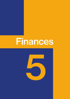# Finances

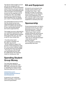The Sports Clubs budget account  $\blacksquare$  Kit and Equipment  $\blacksquare$ will now be merged into one funding pot for all Team Greenwich clubs to bid into, and each club has two accounts. All membership fees will be included in the SU budget account as the essential core of running your club. The budget account is for essential sports team spending only, e.g. paying your coach or buying equipment.

Your Generated account is money that the student group have raised themselves and can be spent on anything else beneficial to your club (except alcohol) but must be approved first.

The budget account is allocated by your essential requirements, with any other requests being reviewed. If throughout the year, you wish to bid for more money then

• You tell us how much you require to develop, not the other way around • All SU funding to support the growth of Team Greenwich clubs is in one account making it easier to access and more accountable • The funds you raise through your generated account will be unaffected by the essential costs for running your club

# Spending Student Group Money

You must have agreed to spend with the Activities staff BEFORE confirming any orders or spending any money via the Spending Approval Form online

[greenwichsu.co.uk/](http://greenwichsu.co.uk/activities/handbook/finance/spendingapproval ) [activities/handbook/finance/](http://greenwichsu.co.uk/activities/handbook/finance/spendingapproval ) [spendingapproval](http://greenwichsu.co.uk/activities/handbook/finance/spendingapproval ) 

If payment is not confirmed before spending, a claim back cannot be guaranteed.

All club kit can be stored in the storage rooms at Avery, and accessed from 10am – 5pm Monday to Friday. An inventory should be given to the Students Union at the beginning of the year, and then again at the end of the academic year to track what equipment is owned by the club.

# Sponsorship

External sponsorship can help to generate income for your club's generated account. There are some key things to consider: • What is your club's current situation (financial, performance, membership, community links etc.) and what can you offer? • Why do you need sponsorship? • How will you use the sponsor money? For a full guide on obtaining sponsorship click here.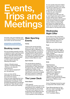# Events, Trips and Meetings

All events, trips and meetings must be booked by filling out the booking [f](http:// greenwichsu.co.uk/activities/handbook/events/eventrequest)orm which can be found here:

[greenwichsu.co.uk/activities/](http:// greenwichsu.co.uk/activities/handbook/events/eventrequest) [handbook/events/eventrequest](http:// greenwichsu.co.uk/activities/handbook/events/eventrequest)

# Booking rooms

All room booking requests must be completed at least 2 working weeks in advance to give staff enough time to make the booking and any adjustments that may be needed. To book a union room/venue you first need to have the following information:

- Name of Student group
- Number of people attending
- What you are using the
- room/venue for
- Do you need an equipment? (ex: microphones)

Once you have all this information you should fill out the events form above. Once you have submitted the form, it will be sent to either the Sports Development Coordinator or the Societies Development Coordinator for approval. They will get in touch with you to confirm your booking.

# Main Sporting Events

Varsity

Varsity is the annual sporting event of the year, where Team Greenwich take on Medway in a sporting competition. As many of Team Greenwich get involved as possible and it is a great way to celebrate our sporting talent. If you are interested in getting involved, please contact Becki or Jono.

# Sport Awards

The annual sports awards is an evening to celebrate all the achievements of Team Greenwich throughout the year. With awards ranging from Fresher of the Year to Club of the Year, there is something for everyone to engage with and a chance to celebrate the achievements of your team.

# The Lower Deck

# Venue Space

• 500 capacity

• 3 small rooms and the main event space/dance floor available for you to book out/host for your events. • The main event space has a DJ booth/band stand, lighting rig and a state of the art sound system.

• If you wanted to hold socials just

for your society away from others you could book a small room that can then be catered to your needs. • The small rooms will have a screen which we can isolate to allow for your messages/ visuals/adverts to play.

• The small rooms will work well for sport teams who want to watch fixtures without risk of games clashing as all games can be shown on the screens inside the smaller rooms. If there is a much larger sporting fixture happening that the majority of people will want to watch we can screen it in the main event space on the big LED screen.

# **Wednesday** Night Offer

Come down to the Lower Deck, the new home of Team Greenwich Wednesdays! With a brand new space and drinks deals, it's a night you won't want to miss!

# Food

Dinner:

• £5 Burger and chips with pint of lager/cider/soft drink (TBD by Lower Deck). Vegan/Vegetarian option available

• £5 Margherita Pizza with pint of lager/cider/soft drink (TBD by Lower Deck). Vegan option available.

# Drink

Table Bookings:

• Naked table - free

• 6l kilner jar filled with preferred cocktail mix (TBD by Lower Deck) - £75 for 1 jar. • 2.5l pitcher of lager/cider (TBD by Lower Deck). 5 max - £12 for 1 pitcher. • 6l kilner jar with cocktail mix (TBD by Lower Deck) and 2 bottles of prosecco (TBD by Lower Deck) - £100.

Victory Packages (cannot be used in conjunction with another offer):

Tweet @lowerdeckgre by 7pm with your result to get this offer! • In house alcho-pop (TBD by Lower Deck) - £1

• 2-4-1 cocktails (TBD by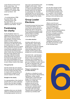Lower Deck) for first 2 hours at the Lower Deck - £6. • 2.5l pitchers of lager/cider (TBD by Lower Deck) - £10 • 1l pitcher of cocktails (TBD Lower by Deck) - £10

## General

• 1l cocktail pitchers (TBD by Lower Deck) - £12 • Selected shots (TBD by Lower Deck) - £1 • Doubles on set spirit and mixer (TBD by Lower Deck) - £3.50

# Fundraising for charity

As the Students' Union is a registered charity, there are some legal checks and procedures that must be followed before any donation of money can be made to another charity. Submit an event proposal form and ensure you fill in the section on raising money for charity. When collecting money for charity it is important to ensure that the money being collected is secure and everyone donating knows which charity they are donating to. We have small collection tins and large collection buckets, along with seals, that can be borrowed by any student group just email activities@gre.ac.uk. You can pay the money you raised to your chosen charity a few ways:

# Through the SU

pay the money into your group's account along with any paperwork from the charity that they want to receive with the donation and we will send a cheque for the amount raised to the charity.

# Straight to the charity

If a representative of the charity is present with you when collecting money, they can take it straight away to be paid in to the charity.

# **Online**

websites where you can donate online to charities have become increasingly popular and are an

easy way to get donations paid straight to the charity - if the charity you are supporting uses an online fundraising website already where you can sign up as a fundraiser (for example JustGiving) then we recommend doing that as money donated there is given straight to the charity

# Group Leader **Elections**

All student groups that have been running since before January must hold an annual election to decide who will run the group for the following academic year. These elections should be held between March and May. You can hold elections in one of two ways.

### 1. An online election

Activities staff will set up an online election, which will be viewable by members of the student group on the SU website. Nominations, manifestos and voting will take place on the website and the results will be emailed out to all the members.

Important note – just because you choose an online election, doesn't mean you can't invite members and candidates to a formal Hustings event. This can give your members a better chance to make an educated vote, and offer your candidates a better opportunity to platform themselves.

### Things to remember for an online election:

• Decide on a timeline for each stage of the election (Nominations, manifestos, voting, results) • Please bear in mind that each stage of the election process must be on a week day • Confirm the leadership positions that are up for election to activities staff • Inform your members about the election and keep them up to date with each stage • Results will be emailed to all members by activities staff

### 2. A meeting

you can also choose to hold an in-person meeting. If you are doing this you must invite the VP Student Activities and/ or a member of the Societies Exec. This is to ensure that the process is fair and democratic.

### Things to remember for an in person election:

- Book a room for your meeting through the normal room booking process • Invite the VP Student Activities to your election. • Decide what leadership positions are up for election (Including the three compulsory positions of Chairperson/President, Secretary and Treasurer) • Invite all of your members to your election • Prepare the ballot papers
- Designate someone to count the votes and send the result to the Activities team